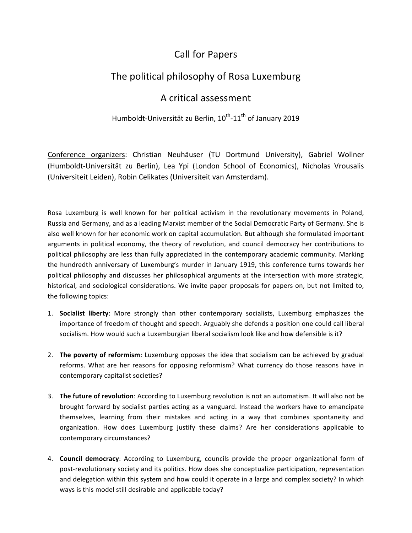## Call for Papers

## The political philosophy of Rosa Luxemburg

## A critical assessment

## Humboldt-Universität zu Berlin, 10<sup>th</sup>-11<sup>th</sup> of January 2019

Conference organizers: Christian Neuhäuser (TU Dortmund University), Gabriel Wollner (Humboldt-Universität zu Berlin), Lea Ypi (London School of Economics), Nicholas Vrousalis (Universiteit Leiden), Robin Celikates (Universiteit van Amsterdam).

Rosa Luxemburg is well known for her political activism in the revolutionary movements in Poland, Russia and Germany, and as a leading Marxist member of the Social Democratic Party of Germany. She is also well known for her economic work on capital accumulation. But although she formulated important arguments in political economy, the theory of revolution, and council democracy her contributions to political philosophy are less than fully appreciated in the contemporary academic community. Marking the hundredth anniversary of Luxemburg's murder in January 1919, this conference turns towards her political philosophy and discusses her philosophical arguments at the intersection with more strategic, historical, and sociological considerations. We invite paper proposals for papers on, but not limited to, the following topics:

- 1. **Socialist liberty**: More strongly than other contemporary socialists, Luxemburg emphasizes the importance of freedom of thought and speech. Arguably she defends a position one could call liberal socialism. How would such a Luxemburgian liberal socialism look like and how defensible is it?
- 2. **The poverty of reformism**: Luxemburg opposes the idea that socialism can be achieved by gradual reforms. What are her reasons for opposing reformism? What currency do those reasons have in contemporary capitalist societies?
- 3. The future of revolution: According to Luxemburg revolution is not an automatism. It will also not be brought forward by socialist parties acting as a vanguard. Instead the workers have to emancipate themselves, learning from their mistakes and acting in a way that combines spontaneity and organization. How does Luxemburg justify these claims? Are her considerations applicable to contemporary circumstances?
- 4. **Council democracy**: According to Luxemburg, councils provide the proper organizational form of post-revolutionary society and its politics. How does she conceptualize participation, representation and delegation within this system and how could it operate in a large and complex society? In which ways is this model still desirable and applicable today?